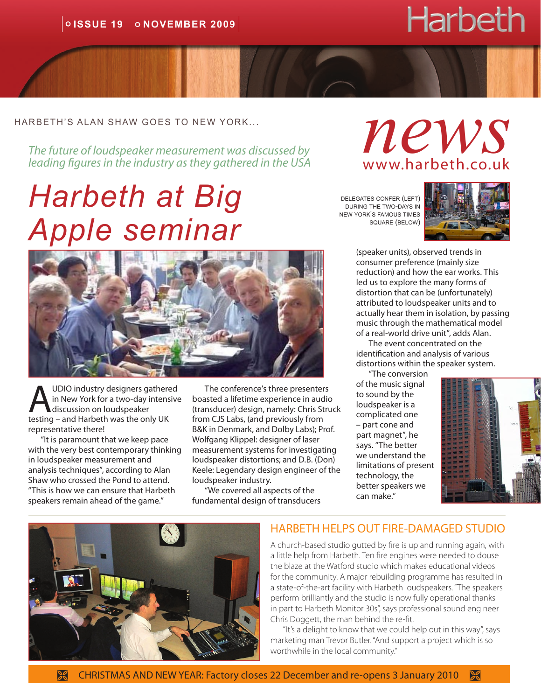# **Harbeth**

#### harbeth's alan shaw goes to new york...

*The future of loudspeaker measurement was discussed by leading figures in the industry as they gathered in the USA*

# *Harbeth at Big Apple seminar*



UDIO industry designers gathered in New York for a two-day intensive discussion on loudspeaker testing – and Harbeth was the only UK representative there!

"It is paramount that we keep pace with the very best contemporary thinking in loudspeaker measurement and analysis techniques", according to Alan Shaw who crossed the Pond to attend. "This is how we can ensure that Harbeth speakers remain ahead of the game."

The conference's three presenters boasted a lifetime experience in audio (transducer) design, namely: Chris Struck from CJS Labs, (and previously from B&K in Denmark, and Dolby Labs); Prof. Wolfgang Klippel: designer of laser measurement systems for investigating loudspeaker distortions; and D.B. (Don) Keele: Legendary design engineer of the loudspeaker industry.

"We covered all aspects of the fundamental design of transducers *news* www.harbeth.co.uk

delegates confer (left) during the two-days in new york's famous times square (below)



(speaker units), observed trends in consumer preference (mainly size reduction) and how the ear works. This led us to explore the many forms of distortion that can be (unfortunately) attributed to loudspeaker units and to actually hear them in isolation, by passing music through the mathematical model of a real-world drive unit", adds Alan.

The event concentrated on the identification and analysis of various distortions within the speaker system.

"The conversion of the music signal to sound by the loudspeaker is a complicated one – part cone and part magnet", he says. "The better we understand the limitations of present technology, the better speakers we can make."





#### HARBETH HELPS OUT FIRE-DAMAGED STUDIO

A church-based studio gutted by fire is up and running again, with a little help from Harbeth. Ten fire engines were needed to douse the blaze at the Watford studio which makes educational videos for the community. A major rebuilding programme has resulted in a state-of-the-art facility with Harbeth loudspeakers. "The speakers perform brilliantly and the studio is now fully operational thanks in part to Harbeth Monitor 30s", says professional sound engineer Chris Doggett, the man behind the re-fit.

"It's a delight to know that we could help out in this way", says marketing man Trevor Butler. "And support a project which is so worthwhile in the local community."